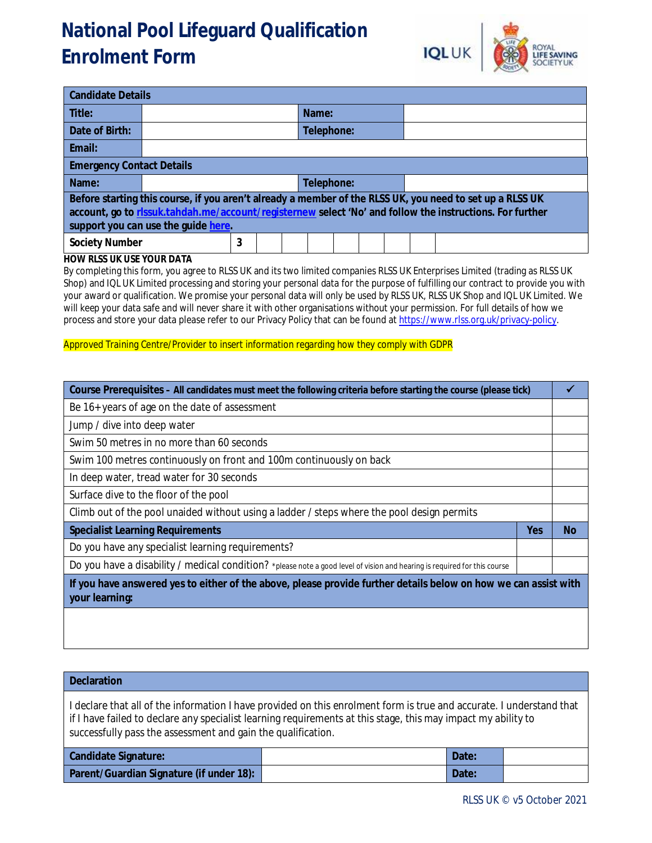# **National Pool Lifeguard Qualification Enrolment Form**



| <b>Candidate Details</b>                                                                                                                                                                                                                                    |  |   |  |  |            |  |  |  |  |  |  |
|-------------------------------------------------------------------------------------------------------------------------------------------------------------------------------------------------------------------------------------------------------------|--|---|--|--|------------|--|--|--|--|--|--|
| Title:                                                                                                                                                                                                                                                      |  |   |  |  | Name:      |  |  |  |  |  |  |
| Date of Birth:                                                                                                                                                                                                                                              |  |   |  |  | Telephone: |  |  |  |  |  |  |
| Email:                                                                                                                                                                                                                                                      |  |   |  |  |            |  |  |  |  |  |  |
| <b>Emergency Contact Details</b>                                                                                                                                                                                                                            |  |   |  |  |            |  |  |  |  |  |  |
| Name:                                                                                                                                                                                                                                                       |  |   |  |  | Telephone: |  |  |  |  |  |  |
| Before starting this course, if you aren't already a member of the RLSS UK, you need to set up a RLSS UK<br>account, go to rissuk.tahdah.me/account/registernew select 'No' and follow the instructions. For further<br>support you can use the guide here. |  |   |  |  |            |  |  |  |  |  |  |
| <b>Society Number</b>                                                                                                                                                                                                                                       |  | 3 |  |  |            |  |  |  |  |  |  |

#### **HOW RLSS UK USE YOUR DATA**

By completing this form, you agree to RLSS UK and its two limited companies RLSS UK Enterprises Limited (trading as RLSS UK Shop) and IQL UK Limited processing and storing your personal data for the purpose of fulfilling our contract to provide you with your award or qualification. We promise your personal data will only be used by RLSS UK, RLSS UK Shop and IQL UK Limited. We will keep your data safe and will never share it with other organisations without your permission. For full details of how we process and store your data please refer to our Privacy Policy that can be found at <https://www.rlss.org.uk/privacy-policy.>

#### Approved Training Centre/Provider to insert information regarding how they comply with GDPR

| Course Prerequisites - All candidates must meet the following criteria before starting the course (please tick)                   |            |           |  |  |  |
|-----------------------------------------------------------------------------------------------------------------------------------|------------|-----------|--|--|--|
| Be 16+ years of age on the date of assessment                                                                                     |            |           |  |  |  |
| Jump / dive into deep water                                                                                                       |            |           |  |  |  |
| Swim 50 metres in no more than 60 seconds                                                                                         |            |           |  |  |  |
| Swim 100 metres continuously on front and 100m continuously on back                                                               |            |           |  |  |  |
| In deep water, tread water for 30 seconds                                                                                         |            |           |  |  |  |
| Surface dive to the floor of the pool                                                                                             |            |           |  |  |  |
| Climb out of the pool unaided without using a ladder / steps where the pool design permits                                        |            |           |  |  |  |
| <b>Specialist Learning Requirements</b>                                                                                           | <b>Yes</b> | <b>No</b> |  |  |  |
| Do you have any specialist learning requirements?                                                                                 |            |           |  |  |  |
| Do you have a disability / medical condition? *please note a good level of vision and hearing is required for this course         |            |           |  |  |  |
| If you have answered yes to either of the above, please provide further details below on how we can assist with<br>your learning: |            |           |  |  |  |
|                                                                                                                                   |            |           |  |  |  |

### **Declaration**

I declare that all of the information I have provided on this enrolment form is true and accurate. I understand that if I have failed to declare any specialist learning requirements at this stage, this may impact my ability to successfully pass the assessment and gain the qualification.

| <b>Candidate Signature:</b>              | Date: |  |
|------------------------------------------|-------|--|
| Parent/Guardian Signature (if under 18): | Date: |  |